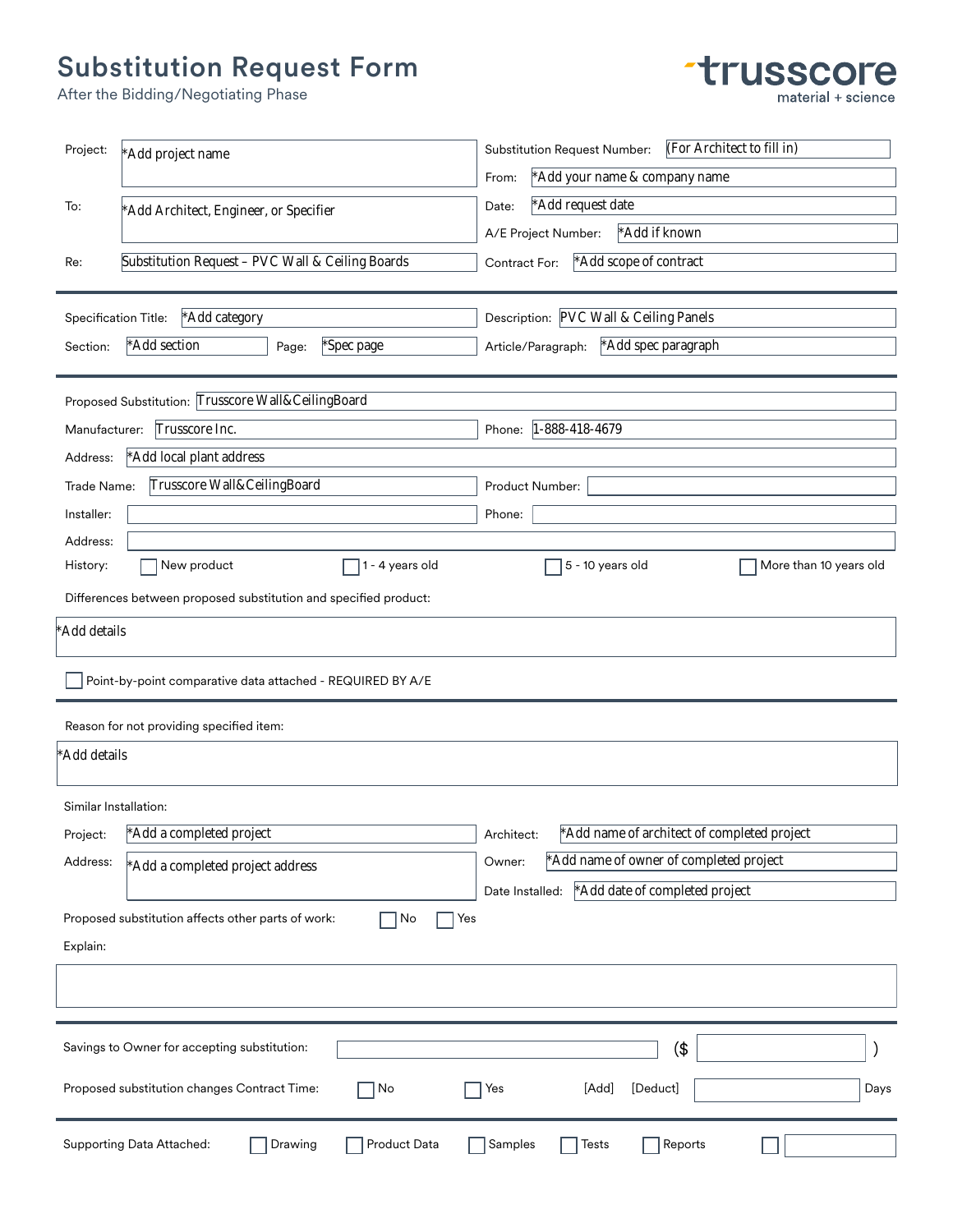## Substitution Request Form

 $*$ Add details<br>  $\Box$  Point-b<sub>)</sub><br>
Reason for r<br>  $*$ Add details

Proposed substitution changes Contract Time:

|                       | After the Bidding/Negotiating Phase                              | material + science                                                |
|-----------------------|------------------------------------------------------------------|-------------------------------------------------------------------|
| Project:              | *Add project name                                                | (For Architect to fill in)<br><b>Substitution Request Number:</b> |
|                       |                                                                  | *Add your name & company name<br>From:                            |
| To:                   | *Add Architect, Engineer, or Specifier                           | *Add request date<br>Date:                                        |
|                       |                                                                  | *Add if known<br>A/E Project Number:                              |
| Re:                   | Substitution Request - PVC Wall & Ceiling Boards                 | *Add scope of contract<br>Contract For:                           |
| Specification Title:  | *Add category                                                    | Description: PVC Wall & Ceiling Panels                            |
| Section:              | *Add section<br>Page:<br>*Spec page                              | *Add spec paragraph<br>Article/Paragraph:                         |
|                       | Proposed Substitution: Trusscore Wall&CeilingBoard               |                                                                   |
| Manufacturer:         | Trusscore Inc.                                                   | Phone: 1-888-418-4679                                             |
| Address:              | *Add local plant address                                         |                                                                   |
| Trade Name:           | Trusscore Wall&CeilingBoard                                      | Product Number:                                                   |
| Installer:            |                                                                  | Phone:                                                            |
| Address:              |                                                                  |                                                                   |
| History:              | New product<br>$\sqrt{1}$ - 4 years old                          | 5 - 10 years old<br>More than 10 years old                        |
|                       | Differences between proposed substitution and specified product: |                                                                   |
| Add details           |                                                                  |                                                                   |
|                       | Point-by-point comparative data attached - REQUIRED BY A/E       |                                                                   |
|                       | Reason for not providing specified item:                         |                                                                   |
| Add details           |                                                                  |                                                                   |
| Similar Installation: |                                                                  |                                                                   |
| Project:              | *Add a completed project                                         | *Add name of architect of completed project<br>Architect:         |
| Address:              | *Add a completed project address                                 | *Add name of owner of completed project<br>Owner:                 |
|                       |                                                                  | *Add date of completed project<br>Date Installed:                 |
| Explain:              | Proposed substitution affects other parts of work:<br>No<br>Yes  |                                                                   |
|                       |                                                                  |                                                                   |
|                       |                                                                  |                                                                   |
|                       | Savings to Owner for accepting substitution:                     | (\$                                                               |

The Second Second Second Second Second Second Second Second Second Second Second Second Second Second Second Second Second Second Second Second Second Second Second Second Second Second Second Second Second Second Second S

 $\Box$ 

**trusscore** 

Supporting Data Attached: Drawing Product Data Samples Figures Reports

 $\Box$ No